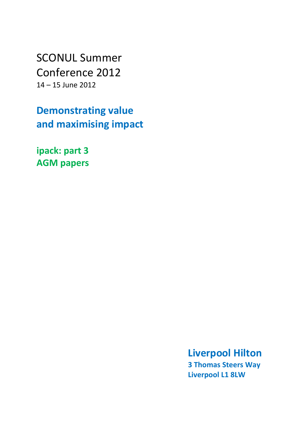SCONUL Summer Conference 2012 14 – 15 June 2012

**Demonstrating value and maximising impact**

**ipack: part 3 AGM papers**

> **Liverpool Hilton 3 Thomas Steers Way Liverpool L1 8LW**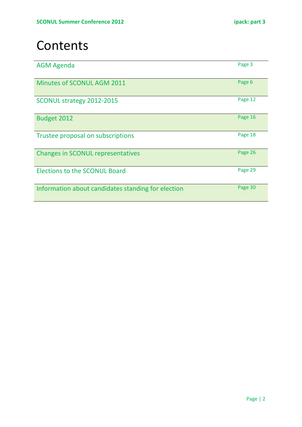# **Contents**

| <b>AGM Agenda</b>                                  | Page 3  |
|----------------------------------------------------|---------|
| <b>Minutes of SCONUL AGM 2011</b>                  | Page 6  |
| SCONUL strategy 2012-2015                          | Page 12 |
| <b>Budget 2012</b>                                 | Page 16 |
| Trustee proposal on subscriptions                  | Page 18 |
| <b>Changes in SCONUL representatives</b>           | Page 26 |
| <b>Elections to the SCONUL Board</b>               | Page 29 |
| Information about candidates standing for election | Page 30 |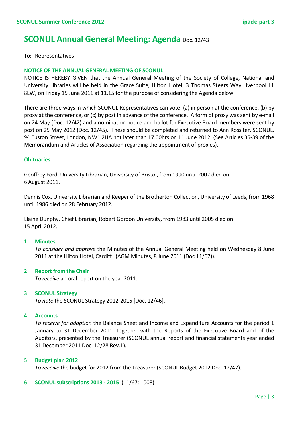### **SCONUL Annual General Meeting: Agenda** Doc. 12/43

#### To: Representatives

#### **NOTICE OF THE ANNUAL GENERAL MEETING OF SCONUL**

NOTICE IS HEREBY GIVEN that the Annual General Meeting of the Society of College, National and University Libraries will be held in the Grace Suite, Hilton Hotel, 3 Thomas Steers Way Liverpool L1 8LW, on Friday 15 June 2011 at 11.15 for the purpose of considering the Agenda below.

There are three ways in which SCONUL Representatives can vote: (a) in person at the conference, (b) by proxy at the conference, or (c) by post in advance of the conference. A form of proxy was sent by e-mail on 24 May (Doc. 12/42) and a nomination notice and ballot for Executive Board members were sent by post on 25 May 2012 (Doc. 12/45). These should be completed and returned to Ann Rossiter, SCONUL, 94 Euston Street, London, NW1 2HA not later than 17.00hrs on 11 June 2012. (See Articles 35-39 of the Memorandum and Articles of Association regarding the appointment of proxies).

#### **Obituaries**

Geoffrey Ford, University Librarian, University of Bristol, from 1990 until 2002 died on 6 August 2011.

Dennis Cox, University Librarian and Keeper of the Brotherton Collection, University of Leeds, from 1968 until 1986 died on 28 February 2012.

Elaine Dunphy, Chief Librarian, Robert Gordon University, from 1983 until 2005 died on 15 April 2012.

#### **1 Minutes**

*To consider and approve* the Minutes of the Annual General Meeting held on Wednesday 8 June 2011 at the Hilton Hotel, Cardiff (AGM Minutes, 8 June 2011 (Doc 11/67)).

#### **2 Report from the Chair**

*To receive* an oral report on the year 2011.

#### **3 SCONUL Strategy**

*To note* the SCONUL Strategy 2012-2015 [Doc. 12/46].

#### **4 Accounts**

*To receive for adoption* the Balance Sheet and Income and Expenditure Accounts for the period 1 January to 31 December 2011, together with the Reports of the Executive Board and of the Auditors, presented by the Treasurer (SCONUL annual report and financial statements year ended 31 December 2011 Doc. 12/28 Rev.1).

#### **5 Budget plan 2012**

*To receive* the budget for 2012 from the Treasurer (SCONUL Budget 2012 Doc. 12/47).

#### **6 SCONUL subscriptions 2013 - 2015** (11/67: 1008)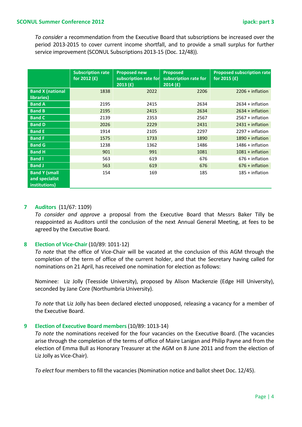*To consider* a recommendation from the Executive Board that subscriptions be increased over the period 2013-2015 to cover current income shortfall, and to provide a small surplus for further service improvement (SCONUL Subscriptions 2013-15 (Doc. 12/48)).

|                                                         | <b>Subscription rate</b><br>for 2012 (£) | <b>Proposed new</b><br>subscription rate for<br>2013(f) | Proposed<br>subscription rate for<br>2014(f) | <b>Proposed subscription rate</b><br>for 2015 (£) |
|---------------------------------------------------------|------------------------------------------|---------------------------------------------------------|----------------------------------------------|---------------------------------------------------|
| <b>Band X (national</b><br>libraries)                   | 1838                                     | 2022                                                    | 2206                                         | $2206 + inflation$                                |
| <b>Band A</b>                                           | 2195                                     | 2415                                                    | 2634                                         | $2634 + inflation$                                |
| <b>Band B</b>                                           | 2195                                     | 2415                                                    | 2634                                         | $2634 + inflation$                                |
| <b>Band C</b>                                           | 2139                                     | 2353                                                    | 2567                                         | $2567 + inflation$                                |
| <b>Band D</b>                                           | 2026                                     | 2229                                                    | 2431                                         | $2431 + inflation$                                |
| <b>Band E</b>                                           | 1914                                     | 2105                                                    | 2297                                         | $2297 + inflation$                                |
| <b>Band F</b>                                           | 1575                                     | 1733                                                    | 1890                                         | $1890 + inflation$                                |
| <b>Band G</b>                                           | 1238                                     | 1362                                                    | 1486                                         | $1486 + inflation$                                |
| <b>Band H</b>                                           | 901                                      | 991                                                     | 1081                                         | $1081 + inflation$                                |
| <b>Band I</b>                                           | 563                                      | 619                                                     | 676                                          | $676 + inflation$                                 |
| <b>Band J</b>                                           | 563                                      | 619                                                     | 676                                          | $676 + inflation$                                 |
| <b>Band Y (small</b><br>and specialist<br>institutions) | 154                                      | 169                                                     | 185                                          | $185 + inflation$                                 |

#### **7 Auditors** (11/67: 1109)

*To consider and approve* a proposal from the Executive Board that Messrs Baker Tilly be reappointed as Auditors until the conclusion of the next Annual General Meeting, at fees to be agreed by the Executive Board.

#### **8 Election of Vice-Chair** (10/89: 1011-12)

*To note* that the office of Vice-Chair will be vacated at the conclusion of this AGM through the completion of the term of office of the current holder, and that the Secretary having called for nominations on 21 April, has received one nomination for election as follows:

Nominee: Liz Jolly (Teesside University), proposed by Alison Mackenzie (Edge Hill University), seconded by Jane Core (Northumbria University).

*To note* that Liz Jolly has been declared elected unopposed, releasing a vacancy for a member of the Executive Board.

#### **9 Election of Executive Board members** (10/89: 1013-14)

*To note* the nominations received for the four vacancies on the Executive Board. (The vacancies arise through the completion of the terms of office of Maire Lanigan and Philip Payne and from the election of Emma Bull as Honorary Treasurer at the AGM on 8 June 2011 and from the election of Liz Jolly as Vice-Chair).

*To elect* four members to fill the vacancies (Nomination notice and ballot sheet Doc. 12/45).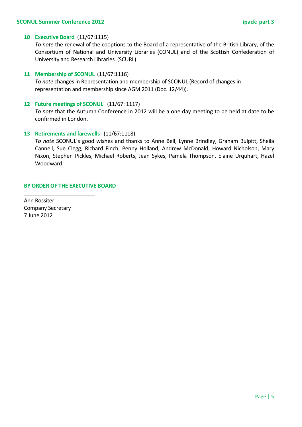#### **10 Executive Board** (11/67:1115)

*To note* the renewal of the cooptions to the Board of a representative of the British Library, of the Consortium of National and University Libraries (CONUL) and of the Scottish Confederation of University and Research Libraries (SCURL).

#### **11 Membership of SCONUL** (11/67:1116)

*To note* changes in Representation and membership of SCONUL (Record of changes in representation and membership since AGM 2011 (Doc. 12/44)).

#### **12 Future meetings of SCONUL** (11/67: 1117)

*To note* that the Autumn Conference in 2012 will be a one day meeting to be held at date to be confirmed in London.

#### **13 Retirements and farewells** (11/67:1118)

*To note* SCONUL's good wishes and thanks to Anne Bell, Lynne Brindley, Graham Bulpitt, Sheila Cannell, Sue Clegg, Richard Finch, Penny Holland, Andrew McDonald, Howard Nicholson, Mary Nixon, Stephen Pickles, Michael Roberts, Jean Sykes, Pamela Thompson, Elaine Urquhart, Hazel Woodward.

#### **BY ORDER OF THE EXECUTIVE BOARD**

\_\_\_\_\_\_\_\_\_\_\_\_\_\_\_\_\_\_\_\_\_\_\_\_

Ann Rossiter Company Secretary 7 June 2012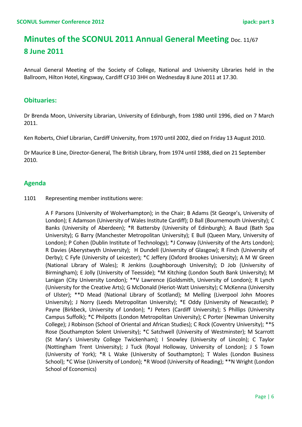## **Minutes of the SCONUL 2011 Annual General Meeting Doc. 11/67 8 June 2011**

Annual General Meeting of the Society of College, National and University Libraries held in the Ballroom, Hilton Hotel, Kingsway, Cardiff CF10 3HH on Wednesday 8 June 2011 at 17.30.

#### **Obituaries:**

Dr Brenda Moon, University Librarian, University of Edinburgh, from 1980 until 1996, died on 7 March 2011.

Ken Roberts, Chief Librarian, Cardiff University, from 1970 until 2002, died on Friday 13 August 2010.

Dr Maurice B Line, Director-General, The British Library, from 1974 until 1988, died on 21 September 2010.

#### **Agenda**

1101 Representing member institutions were:

A F Parsons (University of Wolverhampton); in the Chair; B Adams (St George's, University of London); E Adamson (University of Wales Institute Cardiff); D Ball (Bournemouth University); C Banks (University of Aberdeen); \*R Battersby (University of Edinburgh); A Baud (Bath Spa University); G Barry (Manchester Metropolitan University); E Bull (Queen Mary, University of London); P Cohen (Dublin Institute of Technology); \*J Conway (University of the Arts London); R Davies (Aberystwyth University); H Dundell (University of Glasgow); R Finch (University of Derby); C Fyfe (University of Leicester); \*C Jeffery (Oxford Brookes University); A M W Green (National Library of Wales); R Jenkins (Loughborough University); D Job (University of Birmingham); E Jolly (University of Teesside); \*M Kitching (London South Bank University); M Lanigan (City University London); \*\*V Lawrence (Goldsmith, University of London); R Lynch (University for the Creative Arts); G McDonald (Heriot-Watt University); C McKenna (University of Ulster); \*\*D Mead (National Library of Scotland); M Melling (Liverpool John Moores University); J Norry (Leeds Metropolitan University); \*E Oddy (University of Newcastle); P Payne (Birkbeck, University of London); \*J Peters (Cardiff University); S Phillips (University Campus Suffolk); \*C Philpotts (London Metropolitan University); C Porter (Newman University College); J Robinson (School of Oriental and African Studies); C Rock (Coventry University); \*\*S Rose (Southampton Solent University); \*C Satchwell (University of Westminster); M Scarrott (St Mary's University College Twickenham); I Snowley (University of Lincoln); C Taylor (Nottingham Trent University); J Tuck (Royal Holloway, University of London); J S Town (University of York); \*R L Wake (University of Southampton); T Wales (London Business School); \*C Wise (University of London); \*R Wood (University of Reading); \*\*N Wright (London School of Economics)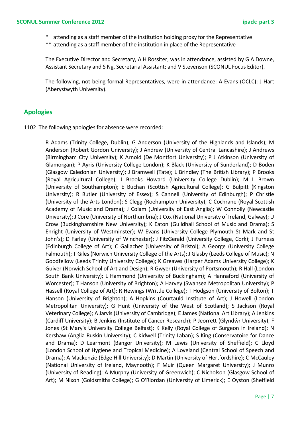- \* attending as a staff member of the institution holding proxy for the Representative
- \*\* attending as a staff member of the institution in place of the Representative

The Executive Director and Secretary, A H Rossiter, was in attendance, assisted by G A Downe, Assistant Secretary and S Ng, Secretarial Assistant; and V Stevenson (SCONUL Focus Editor).

The following, not being formal Representatives, were in attendance: A Evans (OCLC); J Hart (Aberystwyth University).

#### **Apologies**

1102 The following apologies for absence were recorded:

R Adams (Trinity College, Dublin); G Anderson (University of the Highlands and Islands); M Anderson (Robert Gordon University); J Andrew (University of Central Lancashire); J Andrews (Birmingham City University); K Arnold (De Montfort University); P J Atkinson (University of Glamorgan); P Ayris (University College London); K Black (University of Sunderland); D Boden (Glasgow Caledonian University); J Bramwell (Tate); L Brindley (The British Library); P Brooks (Royal Agricultural College); J Brooks Howard (University College Dublin); M L Brown (University of Southampton); E Buchan (Scottish Agricultural College); G Bulpitt (Kingston University); R Butler (University of Essex); S Cannell (University of Edinburgh); P Christie (University of the Arts London); S Clegg (Roehampton University); C Cochrane (Royal Scottish Academy of Music and Drama); J Colam (University of East Anglia); W Connolly (Newcastle University); J Core (University of Northumbria); J Cox (National University of Ireland, Galway); U Crow (Buckinghamshire New University); K Eaton (Guildhall School of Music and Drama); S Enright (University of Westminster); W Evans (University College Plymouth St Mark and St John's); D Farley (University of Winchester); J FitzGerald (University College, Cork); J Furness (Edinburgh College of Art); C Gallacher (University of Bristol); A George (University College Falmouth); T Giles (Norwich University College of the Arts); J Glasby (Leeds College of Music); N Goodfellow (Leeds Trinity University College); K Greaves (Harper Adams University College); K Guiver (Norwich School of Art and Design); R Gwyer (University of Portsmouth); R Hall (London South Bank University); L Hammond (University of Buckingham); A Hannaford (University of Worcester); T Hanson (University of Brighton); A Harvey (Swansea Metropolitan University); P Hassell (Royal College of Art); R Hewings (Writtle College); T Hodgson (University of Bolton); T Hanson (University of Brighton); A Hopkins (Courtauld Institute of Art); J Howell (London Metropolitan University); G Hunt (University of the West of Scotland); S Jackson (Royal Veterinary College); A Jarvis (University of Cambridge); E James (National Art Library); A Jenkins (Cardiff University); B Jenkins (Institute of Cancer Research); P Jeorrett (Glyndŵr University); F Jones (St Mary's University College Belfast); K Kelly (Royal College of Surgeon in Ireland); N Kershaw (Anglia Ruskin University); C Kidwell (Trinity Laban); S King (Conservatoire for Dance and Drama); D Learmont (Bangor University); M Lewis (University of Sheffield); C Lloyd (London School of Hygiene and Tropical Medicine); A Loveland (Central School of Speech and Drama); A Mackenzie (Edge Hill University); D Martin (University of Hertfordshire); C McCauley (National University of Ireland, Maynooth); F Muir (Queen Margaret University); J Munro (University of Reading); A Murphy (University of Greenwich); C Nicholson (Glasgow School of Art); M Nixon (Goldsmiths College); G O'Riordan (University of Limerick); E Oyston (Sheffield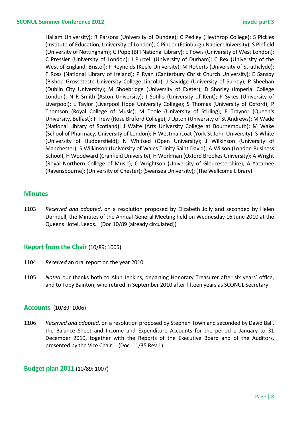Hallam University); R Parsons (University of Dundee); C Pedley (Heythrop College); S Pickles (Institute of Education, University of London); C Pinder (Edinburgh Napier University); S Pinfield (University of Nottingham); G Popp (BFI National Library); E Powis (University of West London); C Pressler (University of London); J Purcell (University of Durham); C Rex (University of the West of England, Bristol); P Reynolds (Keele University); M Roberts (University of Strathclyde); F Ross (National Library of Ireland); P Ryan (Canterbury Christ Church University); E Sansby (Bishop Grosseteste University College Lincoln); J Savidge (University of Surrey); P Sheehan (Dublin City University); M Shoebridge (University of Exeter); D Shorley (Imperial College London); N R Smith (Aston University); J Sotillo (University of Kent); P Sykes (University of Liverpool); L Taylor (Liverpool Hope University College); S Thomas (University of Oxford); P Thomson (Royal College of Music); M Toole (University of Stirling); E Traynor (Queen's University, Belfast); F Trew (Rose Bruford College); J Upton (University of St Andrews); M Wade (National Library of Scotland); J Waite (Arts University College at Bournemouth); M Wake (School of Pharmacy, University of London); H Westmancoat (York St John University); S White (University of Huddersfield); N Whitsed (Open University); J Wilkinson (University of Manchester); S Wilkinson (University of Wales Trinity Saint David); A Wilson (London Business School); H Woodward (Cranfield University); H Workman (Oxford Brookes University); A Wright (Royal Northern College of Music); C Wrightson (University of Gloucestershire); A Yasamee (Ravensbourne); (University of Chester); (Swansea University); (The Wellcome Library)

#### **Minutes**

1103 *Received and adopted*, on a resolution proposed by Elizabeth Jolly and seconded by Helen Durndell, the Minutes of the Annual General Meeting held on Wednesday 16 June 2010 at the Queens Hotel, Leeds. (Doc 10/89 (already circulated))

#### **Report from the Chair** (10/89: 1005)

- 1104 *Received* an oral report on the year 2010.
- 1105 *Noted* our thanks both to Alun Jenkins, departing Honorary Treasurer after six years' office, and to Toby Bainton, who retired in September 2010 after fifteen years as SCONUL Secretary.

#### **Accounts** (10/89: 1006)

1106 *Received and adopted*, on a resolution proposed by Stephen Town and seconded by David Ball, the Balance Sheet and Income and Expenditure Accounts for the period 1 January to 31 December 2010, together with the Reports of the Executive Board and of the Auditors, presented by the Vice Chair. (Doc. 11/35 Rev.1)

#### **Budget plan 2011** (10/89: 1007)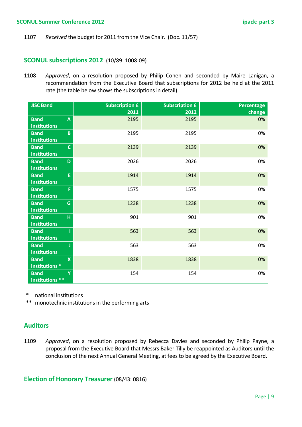1107 *Received* the budget for 2011 from the Vice Chair. (Doc. 11/57)

#### **SCONUL subscriptions 2012** (10/89: 1008-09)

1108 *Approved*, on a resolution proposed by Philip Cohen and seconded by Maire Lanigan, a recommendation from the Executive Board that subscriptions for 2012 be held at the 2011 rate (the table below shows the subscriptions in detail).

| <b>JISC Band</b>                         | <b>Subscription £</b> | <b>Subscription £</b> | Percentage |
|------------------------------------------|-----------------------|-----------------------|------------|
|                                          | 2011                  | 2012                  | change     |
| <b>Band</b><br>$\boldsymbol{\mathsf{A}}$ | 2195                  | 2195                  | 0%         |
| <b>institutions</b>                      |                       |                       |            |
| $\overline{B}$<br><b>Band</b>            | 2195                  | 2195                  | 0%         |
| <b>institutions</b>                      |                       |                       |            |
| $\mathsf{C}$<br><b>Band</b>              | 2139                  | 2139                  | 0%         |
| <b>institutions</b>                      |                       |                       |            |
| <b>Band</b><br>D                         | 2026                  | 2026                  | 0%         |
| <b>institutions</b>                      |                       |                       |            |
| E<br><b>Band</b>                         | 1914                  | 1914                  | 0%         |
| <b>institutions</b>                      |                       |                       |            |
| F<br><b>Band</b>                         | 1575                  | 1575                  | 0%         |
| <b>institutions</b>                      |                       |                       |            |
| <b>Band</b><br>G                         | 1238                  | 1238                  | 0%         |
| <b>institutions</b>                      |                       |                       |            |
| <b>Band</b><br>H                         | 901                   | 901                   | 0%         |
| <b>institutions</b>                      |                       |                       |            |
| <b>Band</b>                              | 563                   | 563                   | 0%         |
| <b>institutions</b>                      |                       |                       |            |
| <b>Band</b>                              | 563                   | 563                   | 0%         |
| <b>institutions</b>                      |                       |                       |            |
| $\overline{\mathsf{x}}$<br><b>Band</b>   | 1838                  | 1838                  | 0%         |
| institutions *                           |                       |                       |            |
| <b>Band</b><br><b>V</b>                  | 154                   | 154                   | 0%         |
| institutions **                          |                       |                       |            |

national institutions

\*\* monotechnic institutions in the performing arts

### **Auditors**

1109 *Approved*, on a resolution proposed by Rebecca Davies and seconded by Philip Payne, a proposal from the Executive Board that Messrs Baker Tilly be reappointed as Auditors until the conclusion of the next Annual General Meeting, at fees to be agreed by the Executive Board.

**Election of Honorary Treasurer** (08/43: 0816)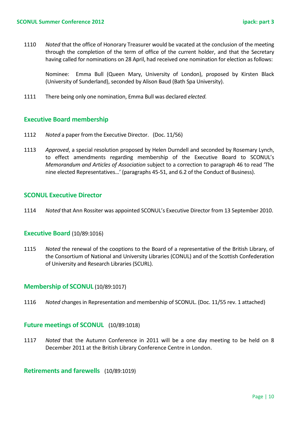1110 *Noted* that the office of Honorary Treasurer would be vacated at the conclusion of the meeting through the completion of the term of office of the current holder, and that the Secretary having called for nominations on 28 April, had received one nomination for election as follows:

Nominee: Emma Bull (Queen Mary, University of London), proposed by Kirsten Black (University of Sunderland), seconded by Alison Baud (Bath Spa University).

1111 There being only one nomination, Emma Bull was declared *elected.*

#### **Executive Board membership**

- 1112 *Noted* a paper from the Executive Director. (Doc. 11/56)
- 1113 *Approved*, a special resolution proposed by Helen Durndell and seconded by Rosemary Lynch, to effect amendments regarding membership of the Executive Board to SCONUL's *Memorandum and Articles of Association* subject to a correction to paragraph 46 to read 'The nine elected Representatives…' (paragraphs 45-51, and 6.2 of the Conduct of Business).

#### **SCONUL Executive Director**

1114 *Noted* that Ann Rossiter was appointed SCONUL's Executive Director from 13 September 2010.

#### **Executive Board** (10/89:1016)

1115 *Noted* the renewal of the cooptions to the Board of a representative of the British Library, of the Consortium of National and University Libraries (CONUL) and of the Scottish Confederation of University and Research Libraries (SCURL).

#### **Membership of SCONUL** (10/89:1017)

1116 *Noted* changes in Representation and membership of SCONUL. (Doc. 11/55 rev. 1 attached)

#### **Future meetings of SCONUL** (10/89:1018)

1117 *Noted* that the Autumn Conference in 2011 will be a one day meeting to be held on 8 December 2011 at the British Library Conference Centre in London.

#### **Retirements and farewells** (10/89:1019)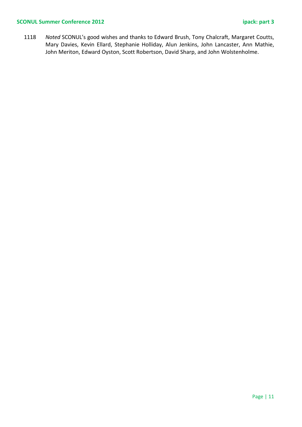#### **SCONUL Summer Conference 2012 ipack: part 3**

1118 *Noted* SCONUL's good wishes and thanks to Edward Brush, Tony Chalcraft, Margaret Coutts, Mary Davies, Kevin Ellard, Stephanie Holliday, Alun Jenkins, John Lancaster, Ann Mathie, John Meriton, Edward Oyston, Scott Robertson, David Sharp, and John Wolstenholme.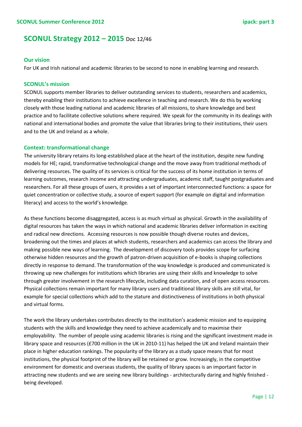### **SCONUL Strategy 2012 – 2015** Doc 12/46

#### **Our vision**

For UK and Irish national and academic libraries to be second to none in enabling learning and research.

#### **SCONUL's mission**

SCONUL supports member libraries to deliver outstanding services to students, researchers and academics, thereby enabling their institutions to achieve excellence in teaching and research. We do this by working closely with those leading national and academic libraries of all missions, to share knowledge and best practice and to facilitate collective solutions where required. We speak for the community in its dealings with national and international bodies and promote the value that libraries bring to their institutions, their users and to the UK and Ireland as a whole.

#### **Context: transformational change**

The university library retains its long-established place at the heart of the institution, despite new funding models for HE; rapid, transformative technological change and the move away from traditional methods of delivering resources. The quality of its services is critical for the success of its home institution in terms of learning outcomes, research income and attracting undergraduates, academic staff, taught postgraduates and researchers. For all these groups of users, it provides a set of important interconnected functions: a space for quiet concentration or collective study, a source of expert support (for example on digital and information literacy) and access to the world's knowledge.

As these functions become disaggregated, access is as much virtual as physical. Growth in the availability of digital resources has taken the ways in which national and academic libraries deliver information in exciting and radical new directions. Accessing resources is now possible though diverse routes and devices, broadening out the times and places at which students, researchers and academics can access the library and making possible new ways of learning. The development of discovery tools provides scope for surfacing otherwise hidden resources and the growth of patron-driven acquisition of e-books is shaping collections directly in response to demand. The transformation of the way knowledge is produced and communicated is throwing up new challenges for institutions which libraries are using their skills and knowledge to solve through greater involvement in the research lifecycle, including data curation, and of open access resources. Physical collections remain important for many library users and traditional library skills are still vital, for example for special collections which add to the stature and distinctiveness of institutions in both physical and virtual forms.

The work the library undertakes contributes directly to the institution's academic mission and to equipping students with the skills and knowledge they need to achieve academically and to maximise their employability. The number of people using academic libraries is rising and the significant investment made in library space and resources (£700 million in the UK in 2010-11) has helped the UK and Ireland maintain their place in higher education rankings. The popularity of the library as a study space means that for most institutions, the physical footprint of the library will be retained or grow. Increasingly, in the competitive environment for domestic and overseas students, the quality of library spaces is an important factor in attracting new students and we are seeing new library buildings - architecturally daring and highly finished being developed.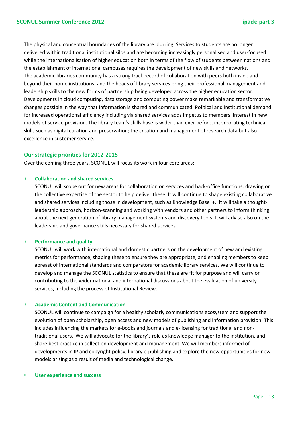The physical and conceptual boundaries of the library are blurring. Services to students are no longer delivered within traditional institutional silos and are becoming increasingly personalised and user-focused while the internationalisation of higher education both in terms of the flow of students between nations and the establishment of international campuses requires the development of new skills and networks. The academic libraries community has a strong track record of collaboration with peers both inside and beyond their home institutions, and the heads of library services bring their professional management and leadership skills to the new forms of partnership being developed across the higher education sector. Developments in cloud computing, data storage and computing power make remarkable and transformative changes possible in the way that information is shared and communicated. Political and institutional demand for increased operational efficiency including via shared services adds impetus to members' interest in new models of service provision. The library team's skills base is wider than ever before, incorporating technical skills such as digital curation and preservation; the creation and management of research data but also excellence in customer service.

#### **Our strategic priorities for 2012-2015**

Over the coming three years, SCONUL will focus its work in four core areas:

#### ∗ **Collaboration and shared services**

SCONUL will scope out for new areas for collaboration on services and back-office functions, drawing on the collective expertise of the sector to help deliver these. It will continue to shape existing collaborative and shared services including those in development, such as Knowledge Base +. It will take a thoughtleadership approach, horizon-scanning and working with vendors and other partners to inform thinking about the next generation of library management systems and discovery tools. It will advise also on the leadership and governance skills necessary for shared services.

#### **Performance and quality**

SCONUL will work with international and domestic partners on the development of new and existing metrics for performance, shaping these to ensure they are appropriate, and enabling members to keep abreast of international standards and comparators for academic library services. We will continue to develop and manage the SCONUL statistics to ensure that these are fit for purpose and will carry on contributing to the wider national and international discussions about the evaluation of university services, including the process of Institutional Review.

#### ∗ **Academic Content and Communication**

SCONUL will continue to campaign for a healthy scholarly communications ecosystem and support the evolution of open scholarship, open access and new models of publishing and information provision. This includes influencing the markets for e-books and journals and e-licensing for traditional and nontraditional users. We will advocate for the library's role as knowledge manager to the institution, and share best practice in collection development and management. We will members informed of developments in IP and copyright policy, library e-publishing and explore the new opportunities for new models arising as a result of media and technological change.

#### **User experience and success**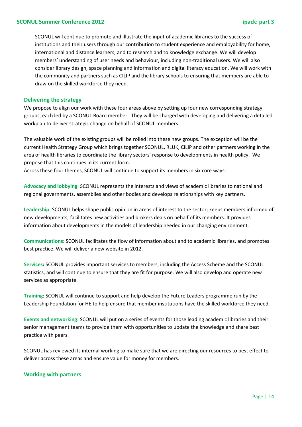SCONUL will continue to promote and illustrate the input of academic libraries to the success of institutions and their users through our contribution to student experience and employability for home, international and distance learners, and to research and to knowledge exchange. We will develop members' understanding of user needs and behaviour, including non-traditional users. We will also consider library design, space planning and information and digital literacy education. We will work with the community and partners such as CILIP and the library schools to ensuring that members are able to draw on the skilled workforce they need.

#### **Delivering the strategy**

We propose to align our work with these four areas above by setting up four new corresponding strategy groups, each led by a SCONUL Board member. They will be charged with developing and delivering a detailed workplan to deliver strategic change on behalf of SCONUL members.

The valuable work of the existing groups will be rolled into these new groups. The exception will be the current Health Strategy Group which brings together SCONUL, RLUK, CILIP and other partners working in the area of health libraries to coordinate the library sectors' response to developments in health policy. We propose that this continues in its current form.

Across these four themes, SCONUL will continue to support its members in six core ways:

**Advocacy and lobbying**: SCONUL represents the interests and views of academic libraries to national and regional governments, assemblies and other bodies and develops relationships with key partners.

**Leadership**: SCONUL helps shape public opinion in areas of interest to the sector; keeps members informed of new developments; facilitates new activities and brokers deals on behalf of its members. It provides information about developments in the models of leadership needed in our changing environment.

**Communications**: SCONUL facilitates the flow of information about and to academic libraries, and promotes best practice. We will deliver a new website in 2012.

**Services:** SCONUL provides important services to members, including the Access Scheme and the SCONUL statistics, and will continue to ensure that they are fit for purpose. We will also develop and operate new services as appropriate.

**Training**: SCONUL will continue to support and help develop the Future Leaders programme run by the Leadership Foundation for HE to help ensure that member institutions have the skilled workforce they need.

**Events and networking:** SCONUL will put on a series of events for those leading academic libraries and their senior management teams to provide them with opportunities to update the knowledge and share best practice with peers.

SCONUL has reviewed its internal working to make sure that we are directing our resources to best effect to deliver across these areas and ensure value for money for members.

#### **Working with partners**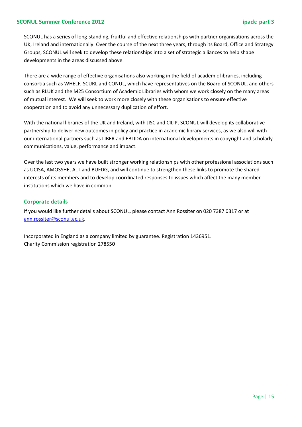#### **SCONUL Summer Conference 2012 ipack: part 3**

SCONUL has a series of long-standing, fruitful and effective relationships with partner organisations across the UK, Ireland and internationally. Over the course of the next three years, through its Board, Office and Strategy Groups, SCONUL will seek to develop these relationships into a set of strategic alliances to help shape developments in the areas discussed above.

There are a wide range of effective organisations also working in the field of academic libraries, including consortia such as WHELF, SCURL and CONUL, which have representatives on the Board of SCONUL, and others such as RLUK and the M25 Consortium of Academic Libraries with whom we work closely on the many areas of mutual interest. We will seek to work more closely with these organisations to ensure effective cooperation and to avoid any unnecessary duplication of effort.

With the national libraries of the UK and Ireland, with JISC and CILIP, SCONUL will develop its collaborative partnership to deliver new outcomes in policy and practice in academic library services, as we also will with our international partners such as LIBER and EBLIDA on international developments in copyright and scholarly communications, value, performance and impact.

Over the last two years we have built stronger working relationships with other professional associations such as UCISA, AMOSSHE, ALT and BUFDG, and will continue to strengthen these links to promote the shared interests of its members and to develop coordinated responses to issues which affect the many member institutions which we have in common.

#### **Corporate details**

If you would like further details about SCONUL, please contact Ann Rossiter on 020 7387 0317 or at [ann.rossiter@sconul.ac.uk.](mailto:ann.rossiter@sconul.ac.uk)

Incorporated in England as a company limited by guarantee. Registration 1436951. Charity Commission registration 278550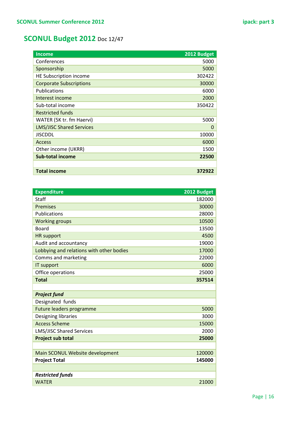### **SCONUL Budget 2012** Doc 12/47

| <b>Income</b>                   | 2012 Budget |
|---------------------------------|-------------|
| Conferences                     | 5000        |
| Sponsorship                     | 5000        |
| HE Subscription income          | 302422      |
| <b>Corporate Subscriptions</b>  | 30000       |
| Publications                    | 6000        |
| Interest income                 | 2000        |
| Sub-total income                | 350422      |
| <b>Restricted funds</b>         |             |
| WATER (5K tr. fm Haervi)        | 5000        |
| <b>LMS/JISC Shared Services</b> | 0           |
| <b>JISCDDL</b>                  | 10000       |
| <b>Access</b>                   | 6000        |
| Other income (UKRR)             | 1500        |
| <b>Sub-total income</b>         | 22500       |
|                                 |             |
| <b>Total income</b>             | 372922      |

| <b>Expenditure</b>                       | 2012 Budget |
|------------------------------------------|-------------|
| Staff                                    | 182000      |
| <b>Premises</b>                          | 30000       |
| Publications                             | 28000       |
| <b>Working groups</b>                    | 10500       |
| <b>Board</b>                             | 13500       |
| <b>HR</b> support                        | 4500        |
| Audit and accountancy                    | 19000       |
| Lobbying and relations with other bodies | 17000       |
| Comms and marketing                      | 22000       |
| IT support                               | 6000        |
| Office operations                        | 25000       |
| <b>Total</b>                             | 357514      |
|                                          |             |
| <b>Project fund</b>                      |             |
| Designated funds                         |             |
| Future leaders programme                 | 5000        |
| Designing libraries                      | 3000        |
| <b>Access Scheme</b>                     | 15000       |
| <b>LMS/JISC Shared Services</b>          | 2000        |
| <b>Project sub total</b>                 | 25000       |
|                                          |             |
| Main SCONUL Website development          | 120000      |
| <b>Project Total</b>                     | 145000      |
|                                          |             |
| <b>Restricted funds</b>                  |             |
| <b>WATFR</b>                             | 21000       |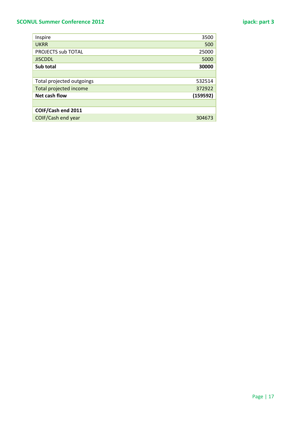### **SCONUL Summer Conference 2012 ipack: part 3**

| Inspire                   | 3500     |
|---------------------------|----------|
| <b>UKRR</b>               | 500      |
| <b>PROJECTS sub TOTAL</b> | 25000    |
| <b>JISCDDL</b>            | 5000     |
| Sub total                 | 30000    |
|                           |          |
| Total projected outgoings | 532514   |
| Total projected income    | 372922   |
| Net cash flow             | (159592) |
|                           |          |
| COIF/Cash end 2011        |          |
| COIF/Cash end year        | 304673   |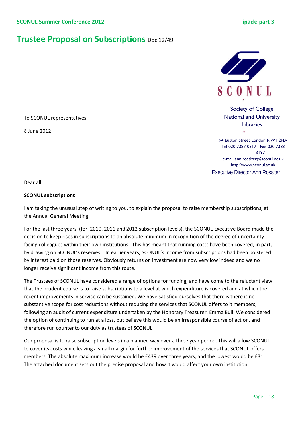### **Trustee Proposal on Subscriptions** Doc 12/49



Society of College National and University Libraries

94 Euston Street London NW1 2HA Tel 020 7387 0317 Fax 020 7383 3197 e-mail ann.rossiter@sconul.ac.uk http://www.sconul.ac.uk Executive Director Ann Rossiter

Dear all

8 June 2012

#### **SCONUL subscriptions**

To SCONUL representatives

I am taking the unusual step of writing to you, to explain the proposal to raise membership subscriptions, at the Annual General Meeting.

For the last three years, (for, 2010, 2011 and 2012 subscription levels), the SCONUL Executive Board made the decision to keep rises in subscriptions to an absolute minimum in recognition of the degree of uncertainty facing colleagues within their own institutions. This has meant that running costs have been covered, in part, by drawing on SCONUL's reserves. In earlier years, SCONUL's income from subscriptions had been bolstered by interest paid on those reserves. Obviously returns on investment are now very low indeed and we no longer receive significant income from this route.

The Trustees of SCONUL have considered a range of options for funding, and have come to the reluctant view that the prudent course is to raise subscriptions to a level at which expenditure is covered and at which the recent improvements in service can be sustained. We have satisfied ourselves that there is there is no substantive scope for cost reductions without reducing the services that SCONUL offers to it members, following an audit of current expenditure undertaken by the Honorary Treasurer, Emma Bull. We considered the option of continuing to run at a loss, but believe this would be an irresponsible course of action, and therefore run counter to our duty as trustees of SCONUL.

Our proposal is to raise subscription levels in a planned way over a three year period. This will allow SCONUL to cover its costs while leaving a small margin for further improvement of the services that SCONUL offers members. The absolute maximum increase would be £439 over three years, and the lowest would be £31. The attached document sets out the precise proposal and how it would affect your own institution.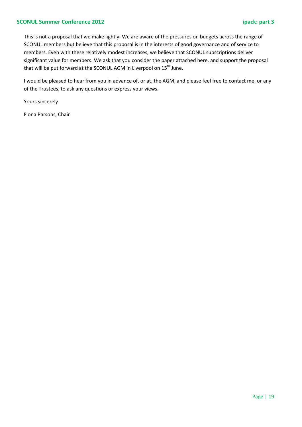#### **SCONUL Summer Conference 2012 ipack: part 3**

This is not a proposal that we make lightly. We are aware of the pressures on budgets across the range of SCONUL members but believe that this proposal is in the interests of good governance and of service to members. Even with these relatively modest increases, we believe that SCONUL subscriptions deliver significant value for members. We ask that you consider the paper attached here, and support the proposal that will be put forward at the SCONUL AGM in Liverpool on  $15^{th}$  June.

I would be pleased to hear from you in advance of, or at, the AGM, and please feel free to contact me, or any of the Trustees, to ask any questions or express your views.

Yours sincerely

Fiona Parsons, Chair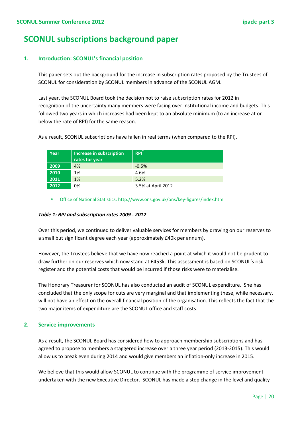### **SCONUL subscriptions background paper**

#### **1. Introduction: SCONUL's financial position**

This paper sets out the background for the increase in subscription rates proposed by the Trustees of SCONUL for consideration by SCONUL members in advance of the SCONUL AGM.

Last year, the SCONUL Board took the decision not to raise subscription rates for 2012 in recognition of the uncertainty many members were facing over institutional income and budgets. This followed two years in which increases had been kept to an absolute minimum (to an increase at or below the rate of RPI) for the same reason.

| Year | Increase in subscription<br>rates for year | <b>RPI</b>         |
|------|--------------------------------------------|--------------------|
| 2009 | 4%                                         | $-0.5%$            |
| 2010 | 1%                                         | 4.6%               |
| 2011 | 1%                                         | 5.2%               |
| 2012 | 0%                                         | 3.5% at April 2012 |

As a result, SCONUL subscriptions have fallen in real terms (when compared to the RPI).

∗ Office of National Statistics: http://www.ons.gov.uk/ons/key-figures/index.html

#### *Table 1: RPI and subscription rates 2009 - 2012*

Over this period, we continued to deliver valuable services for members by drawing on our reserves to a small but significant degree each year (approximately £40k per annum).

However, the Trustees believe that we have now reached a point at which it would not be prudent to draw further on our reserves which now stand at £453k. This assessment is based on SCONUL's risk register and the potential costs that would be incurred if those risks were to materialise.

The Honorary Treasurer for SCONUL has also conducted an audit of SCONUL expenditure. She has concluded that the only scope for cuts are very marginal and that implementing these, while necessary, will not have an effect on the overall financial position of the organisation. This reflects the fact that the two major items of expenditure are the SCONUL office and staff costs.

#### **2. Service improvements**

As a result, the SCONUL Board has considered how to approach membership subscriptions and has agreed to propose to members a staggered increase over a three year period (2013-2015). This would allow us to break even during 2014 and would give members an inflation-only increase in 2015.

We believe that this would allow SCONUL to continue with the programme of service improvement undertaken with the new Executive Director. SCONUL has made a step change in the level and quality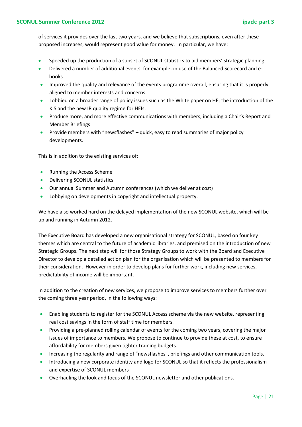of services it provides over the last two years, and we believe that subscriptions, even after these proposed increases, would represent good value for money. In particular, we have:

- Speeded up the production of a subset of SCONUL statistics to aid members' strategic planning.
- Delivered a number of additional events, for example on use of the Balanced Scorecard and ebooks
- Improved the quality and relevance of the events programme overall, ensuring that it is properly aligned to member interests and concerns.
- Lobbied on a broader range of policy issues such as the White paper on HE; the introduction of the KIS and the new IR quality regime for HEIs.
- Produce more, and more effective communications with members, including a Chair's Report and Member Briefings
- Provide members with "newsflashes" quick, easy to read summaries of major policy developments.

This is in addition to the existing services of:

- Running the Access Scheme
- Delivering SCONUL statistics
- Our annual Summer and Autumn conferences (which we deliver at cost)
- Lobbying on developments in copyright and intellectual property.

We have also worked hard on the delayed implementation of the new SCONUL website, which will be up and running in Autumn 2012.

The Executive Board has developed a new organisational strategy for SCONUL, based on four key themes which are central to the future of academic libraries, and premised on the introduction of new Strategic Groups. The next step will for those Strategy Groups to work with the Board and Executive Director to develop a detailed action plan for the organisation which will be presented to members for their consideration. However in order to develop plans for further work, including new services, predictability of income will be important.

In addition to the creation of new services, we propose to improve services to members further over the coming three year period, in the following ways:

- Enabling students to register for the SCONUL Access scheme via the new website, representing real cost savings in the form of staff time for members.
- Providing a pre-planned rolling calendar of events for the coming two years, covering the major issues of importance to members. We propose to continue to provide these at cost, to ensure affordability for members given tighter training budgets.
- Increasing the regularity and range of "newsflashes", briefings and other communication tools.
- Introducing a new corporate identity and logo for SCONUL so that it reflects the professionalism and expertise of SCONUL members
- Overhauling the look and focus of the SCONUL newsletter and other publications.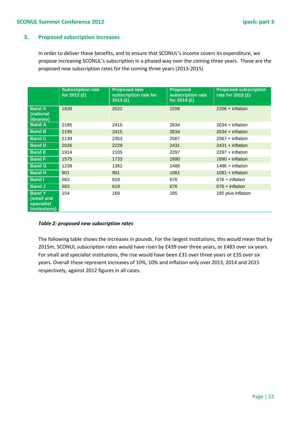#### **3. Proposed subscription increases**

In order to deliver these benefits, and to ensure that SCONUL's income covers its expenditure, we propose increasing SCONUL's subscription in a phased way over the coming three years. These are the proposed new subscription rates for the coming three years (2013-2015)

|                                                            | <b>Subscription rate</b><br>for 2012 (£) | <b>Proposed new</b><br>subscription rate for<br>2013 (£) | <b>Proposed</b><br>subscription rate<br>for 2014 $(E)$ | <b>Proposed subscription</b><br>rate for 2015 $(E)$ |
|------------------------------------------------------------|------------------------------------------|----------------------------------------------------------|--------------------------------------------------------|-----------------------------------------------------|
| <b>Band X</b><br>(national<br>libraries)                   | 1838                                     | 2022                                                     | 2206                                                   | $2206 + inflation$                                  |
| <b>Band A</b>                                              | 2195                                     | 2415                                                     | 2634                                                   | $2634 + inflation$                                  |
| <b>Band B</b>                                              | 2195                                     | 2415                                                     | 2634                                                   | $2634 + inflation$                                  |
| <b>Band C</b>                                              | 2139                                     | 2353                                                     | 2567                                                   | $2567 + inflation$                                  |
| <b>Band D</b>                                              | 2026                                     | 2229                                                     | 2431                                                   | $2431 + inflation$                                  |
| <b>Band E</b>                                              | 1914                                     | 2105                                                     | 2297                                                   | $2297 + inflation$                                  |
| <b>Band F</b>                                              | 1575                                     | 1733                                                     | 1890                                                   | $1890 + inflation$                                  |
| <b>Band G</b>                                              | 1238                                     | 1362                                                     | 1486                                                   | $1486 + inflation$                                  |
| <b>Band H</b>                                              | 901                                      | 991                                                      | 1081                                                   | $1081 + inflation$                                  |
| <b>Band I</b>                                              | 563                                      | 619                                                      | 676                                                    | $676 + inflation$                                   |
| <b>Band J</b>                                              | 563                                      | 619                                                      | 676                                                    | $676 + inflation$                                   |
| <b>Band Y</b><br>(small and<br>specialist<br>institutions) | 154                                      | 169                                                      | 185                                                    | 185 plus inflation                                  |

#### *Table 2: proposed new subscription rates*

The following table shows the increases in pounds. For the largest institutions, this would mean that by 2015m, SCONUL subscription rates would have risen by £439 over three years, or £483 over six years. For small and specialist institutions, the rise would have been £31 over three years or £35 over six years. Overall these represent increases of 10%, 10% and inflation only over 2013, 2014 and 2015 respectively, against 2012 figures in all cases.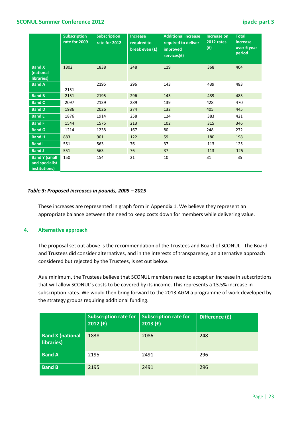#### **SCONUL Summer Conference 2012 ipack: part 3**

|                                                         | <b>Subscription</b><br>rate for 2009 | <b>Subscription</b><br>rate for 2012 | <b>Increase</b><br>required to<br>break even $(f)$ | <b>Additional increase</b><br>required to deliver<br>improved<br>services(£) | <b>Increase on</b><br><b>2012 rates</b><br>(f) | <b>Total</b><br>increase<br>over 6 year<br>period |
|---------------------------------------------------------|--------------------------------------|--------------------------------------|----------------------------------------------------|------------------------------------------------------------------------------|------------------------------------------------|---------------------------------------------------|
| <b>Band X</b><br>(national<br>libraries)                | 1802                                 | 1838                                 | 248                                                | 119                                                                          | 368                                            | 404                                               |
| <b>Band A</b>                                           | 2151                                 | 2195                                 | 296                                                | 143                                                                          | 439                                            | 483                                               |
| <b>Band B</b>                                           | 2151                                 | 2195                                 | 296                                                | 143                                                                          | 439                                            | 483                                               |
| <b>Band C</b>                                           | 2097                                 | 2139                                 | 289                                                | 139                                                                          | 428                                            | 470                                               |
| <b>Band D</b>                                           | 1986                                 | 2026                                 | 274                                                | 132                                                                          | 405                                            | 445                                               |
| <b>Band E</b>                                           | 1876                                 | 1914                                 | 258                                                | 124                                                                          | 383                                            | 421                                               |
| <b>Band F</b>                                           | 1544                                 | 1575                                 | 213                                                | 102                                                                          | 315                                            | 346                                               |
| <b>Band G</b>                                           | 1214                                 | 1238                                 | 167                                                | 80                                                                           | 248                                            | 272                                               |
| <b>Band H</b>                                           | 883                                  | 901                                  | 122                                                | 59                                                                           | 180                                            | 198                                               |
| <b>Band I</b>                                           | 551                                  | 563                                  | 76                                                 | 37                                                                           | 113                                            | 125                                               |
| <b>Band J</b>                                           | 551                                  | 563                                  | 76                                                 | 37                                                                           | 113                                            | 125                                               |
| <b>Band Y (small</b><br>and specialist<br>institutions) | 150                                  | 154                                  | 21                                                 | 10                                                                           | 31                                             | 35                                                |

#### *Table 3: Proposed increases in pounds, 2009 – 2015*

These increases are represented in graph form in Appendix 1. We believe they represent an appropriate balance between the need to keep costs down for members while delivering value.

#### **4. Alternative approach**

The proposal set out above is the recommendation of the Trustees and Board of SCONUL. The Board and Trustees did consider alternatives, and in the interests of transparency, an alternative approach considered but rejected by the Trustees, is set out below.

As a minimum, the Trustees believe that SCONUL members need to accept an increase in subscriptions that will allow SCONUL's costs to be covered by its income. This represents a 13.5% increase in subscription rates. We would then bring forward to the 2013 AGM a programme of work developed by the strategy groups requiring additional funding.

|                                       | <b>Subscription rate for</b><br>2012(f) | <b>Subscription rate for</b><br>2013(f) | Difference (£) |
|---------------------------------------|-----------------------------------------|-----------------------------------------|----------------|
| <b>Band X (national</b><br>libraries) | 1838                                    | 2086                                    | 248            |
| <b>Band A</b>                         | 2195                                    | 2491                                    | 296            |
| <b>Band B</b>                         | 2195                                    | 2491                                    | 296            |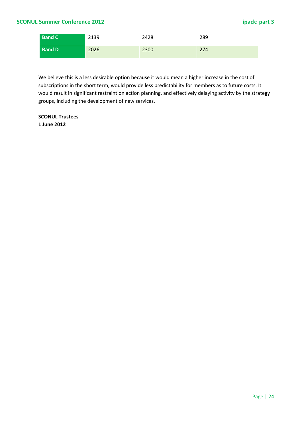| <b>Band C</b> | 2139 | 2428 | 289 |
|---------------|------|------|-----|
| <b>Band D</b> | 2026 | 2300 | 274 |

We believe this is a less desirable option because it would mean a higher increase in the cost of subscriptions in the short term, would provide less predictability for members as to future costs. It would result in significant restraint on action planning, and effectively delaying activity by the strategy groups, including the development of new services.

**SCONUL Trustees 1 June 2012**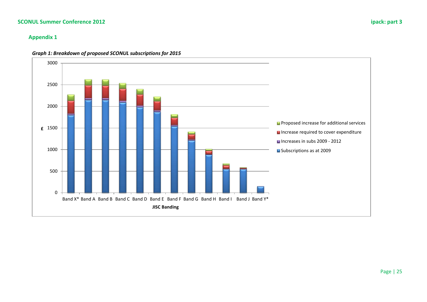#### **SCONUL Summer Conference 2012 ipack: part 3**

#### **Appendix 1**



#### *Graph 1: Breakdown of proposed SCONUL subscriptions for 2015*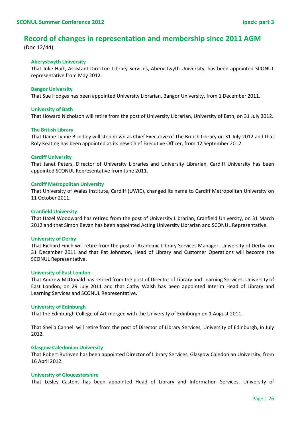### **Record of changes in representation and membership since 2011 AGM**

(Doc 12/44)

#### **Aberystwyth University**

That Julie Hart, Assistant Director: Library Services, Aberystwyth University, has been appointed SCONUL representative from May 2012.

#### **Bangor University**

That Sue Hodges has been appointed University Librarian, Bangor University, from 1 December 2011.

#### **University of Bath**

That Howard Nicholson will retire from the post of University Librarian, University of Bath, on 31 July 2012.

#### **The British Library**

That Dame Lynne Brindley will step down as Chief Executive of The British Library on 31 July 2012 and that Roly Keating has been appointed as its new Chief Executive Officer, from 12 September 2012.

#### **Cardiff University**

That Janet Peters, Director of University Libraries and University Librarian, Cardiff University has been appointed SCONUL Representative from June 2011.

#### **Cardiff Metropolitan University**

That University of Wales Institute, Cardiff (UWIC), changed its name to Cardiff Metropolitan University on 11 October 2011.

#### **Cranfield University**

That Hazel Woodward has retired from the post of University Librarian, Cranfield University, on 31 March 2012 and that Simon Bevan has been appointed Acting University Librarian and SCONUL Representative.

#### **University of Derby**

That Richard Finch will retire from the post of Academic Library Services Manager, University of Derby, on 31 December 2011 and that Pat Johnston, Head of Library and Customer Operations will become the SCONUL Representative.

#### **University of East London**

That Andrew McDonald has retired from the post of Director of Library and Learning Services, University of East London, on 29 July 2011 and that Cathy Walsh has been appointed Interim Head of Library and Learning Services and SCONUL Representative.

#### **University of Edinburgh**

That the Edinburgh College of Art merged with the University of Edinburgh on 1 August 2011.

That Sheila Cannell will retire from the post of Director of Library Services, University of Edinburgh, in July 2012.

#### **Glasgow Caledonian University**

That Robert Ruthven has been appointed Director of Library Services, Glasgow Caledonian University, from 16 April 2012.

#### **University of Gloucestershire**

That Lesley Castens has been appointed Head of Library and Information Services, University of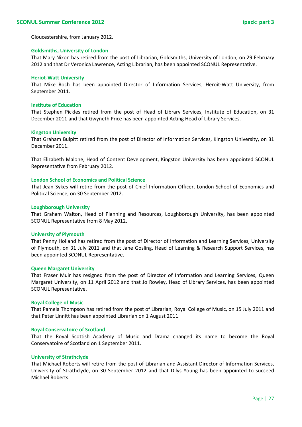Gloucestershire, from January 2012.

#### **Goldsmiths, University of London**

That Mary Nixon has retired from the post of Librarian, Goldsmiths, University of London, on 29 February 2012 and that Dr Veronica Lawrence, Acting Librarian, has been appointed SCONUL Representative.

#### **Heriot-Watt University**

That Mike Roch has been appointed Director of Information Services, Heroit-Watt University, from September 2011.

#### **Institute of Education**

That Stephen Pickles retired from the post of Head of Library Services, Institute of Education, on 31 December 2011 and that Gwyneth Price has been appointed Acting Head of Library Services.

#### **Kingston University**

That Graham Bulpitt retired from the post of Director of Information Services, Kingston University, on 31 December 2011.

That Elizabeth Malone, Head of Content Development, Kingston University has been appointed SCONUL Representative from February 2012.

#### **London School of Economics and Political Science**

That Jean Sykes will retire from the post of Chief Information Officer, London School of Economics and Political Science, on 30 September 2012.

#### **Loughborough University**

That Graham Walton, Head of Planning and Resources, Loughborough University, has been appointed SCONUL Representative from 8 May 2012.

#### **University of Plymouth**

That Penny Holland has retired from the post of Director of Information and Learning Services, University of Plymouth, on 31 July 2011 and that Jane Gosling, Head of Learning & Research Support Services, has been appointed SCONUL Representative.

#### **Queen Margaret University**

That Fraser Muir has resigned from the post of Director of Information and Learning Services, Queen Margaret University, on 11 April 2012 and that Jo Rowley, Head of Library Services, has been appointed SCONUL Representative.

#### **Royal College of Music**

That Pamela Thompson has retired from the post of Librarian, Royal College of Music, on 15 July 2011 and that Peter Linnitt has been appointed Librarian on 1 August 2011.

#### **Royal Conservatoire of Scotland**

That the Royal Scottish Academy of Music and Drama changed its name to become the Royal Conservatoire of Scotland on 1 September 2011.

#### **University of Strathclyde**

That Michael Roberts will retire from the post of Librarian and Assistant Director of Information Services, University of Strathclyde, on 30 September 2012 and that Dilys Young has been appointed to succeed Michael Roberts.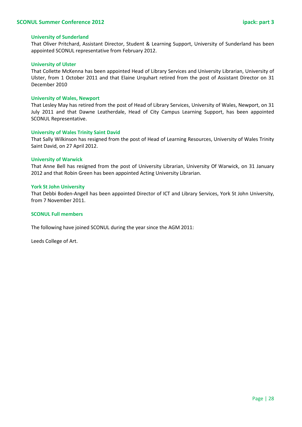#### **University of Sunderland**

That Oliver Pritchard, Assistant Director, Student & Learning Support, University of Sunderland has been appointed SCONUL representative from February 2012.

#### **University of Ulster**

That Collette McKenna has been appointed Head of Library Services and University Librarian, University of Ulster, from 1 October 2011 and that Elaine Urquhart retired from the post of Assistant Director on 31 December 2010

#### **University of Wales, Newport**

That Lesley May has retired from the post of Head of Library Services, University of Wales, Newport, on 31 July 2011 and that Dawne Leatherdale, Head of City Campus Learning Support, has been appointed SCONUL Representative.

#### **University of Wales Trinity Saint David**

That Sally Wilkinson has resigned from the post of Head of Learning Resources, University of Wales Trinity Saint David, on 27 April 2012.

#### **University of Warwick**

That Anne Bell has resigned from the post of University Librarian, University Of Warwick, on 31 January 2012 and that Robin Green has been appointed Acting University Librarian.

#### **York St John University**

That Debbi Boden-Angell has been appointed Director of ICT and Library Services, York St John University, from 7 November 2011.

#### **SCONUL Full members**

The following have joined SCONUL during the year since the AGM 2011:

Leeds College of Art.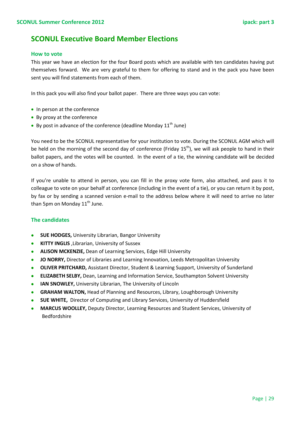### **SCONUL Executive Board Member Elections**

#### **How to vote**

This year we have an election for the four Board posts which are available with ten candidates having put themselves forward. We are very grateful to them for offering to stand and in the pack you have been sent you will find statements from each of them.

In this pack you will also find your ballot paper. There are three ways you can vote:

- In person at the conference
- By proxy at the conference
- By post in advance of the conference (deadline Monday  $11<sup>th</sup>$  June)

You need to be the SCONUL representative for your institution to vote. During the SCONUL AGM which will be held on the morning of the second day of conference (Friday  $15<sup>th</sup>$ ), we will ask people to hand in their ballot papers, and the votes will be counted. In the event of a tie, the winning candidate will be decided on a show of hands.

If you're unable to attend in person, you can fill in the proxy vote form, also attached, and pass it to colleague to vote on your behalf at conference (including in the event of a tie), or you can return it by post, by fax or by sending a scanned version e-mail to the address below where it will need to arrive no later than 5pm on Monday  $11<sup>th</sup>$  June.

#### **The candidates**

- **SUE HODGES,** University Librarian, Bangor University
- **KITTY INGLIS** ,Librarian, University of Sussex
- **ALISON MCKENZIE,** Dean of Learning Services, Edge Hill University
- **JO NORRY,** Director of Libraries and Learning Innovation, Leeds Metropolitan University
- **OLIVER PRITCHARD,** Assistant Director, Student & Learning Support, University of Sunderland
- **ELIZABETH SELBY,** Dean, Learning and Information Service, Southampton Solvent University
- **IAN SNOWLEY,** University Librarian, The University of Lincoln
- **GRAHAM WALTON,** Head of Planning and Resources, Library, Loughborough University
- **SUE WHITE,** Director of Computing and Library Services, University of Huddersfield
- **MARCUS WOOLLEY,** Deputy Director, Learning Resources and Student Services, University of Bedfordshire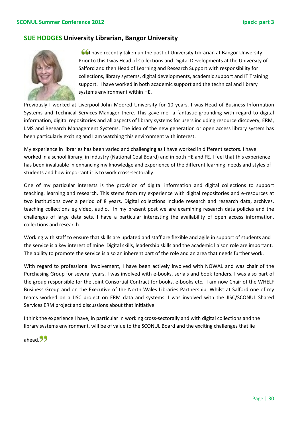#### **SUE HODGES University Librarian, Bangor University**



**I have recently taken up the post of University Librarian at Bangor University.** Prior to this I was Head of Collections and Digital Developments at the University of Salford and then Head of Learning and Research Support with responsibility for collections, library systems, digital developments, academic support and IT Training support. I have worked in both academic support and the technical and library systems environment within HE.

Previously I worked at Liverpool John Moored University for 10 years. I was Head of Business Information Systems and Technical Services Manager there. This gave me a fantastic grounding with regard to digital information, digital repositories and all aspects of library systems for users including resource discovery, ERM, LMS and Research Management Systems. The idea of the new generation or open access library system has been particularly exciting and I am watching this environment with interest.

My experience in libraries has been varied and challenging as I have worked in different sectors. I have worked in a school library, in industry (National Coal Board) and in both HE and FE. I feel that this experience has been invaluable in enhancing my knowledge and experience of the different learning needs and styles of students and how important it is to work cross-sectorally.

One of my particular interests is the provision of digital information and digital collections to support teaching. learning and research. This stems from my experience with digital repositories and e-resources at two institutions over a period of 8 years. Digital collections include research and research data, archives. teaching collections eg video, audio. In my present post we are examining research data policies and the challenges of large data sets. I have a particular interesting the availability of open access information, collections and research.

Working with staff to ensure that skills are updated and staff are flexible and agile in support of students and the service is a key interest of mine Digital skills, leadership skills and the academic liaison role are important. The ability to promote the service is also an inherent part of the role and an area that needs further work.

With regard to professional involvement, I have been actively involved with NOWAL and was chair of the Purchasing Group for several years. I was involved with e-books, serials and book tenders. I was also part of the group responsible for the Joint Consortial Contract for books, e-books etc. I am now Chair of the WHELF Business Group and on the Executive of the North Wales Libraries Partnership. Whilst at Salford one of my teams worked on a JISC project on ERM data and systems. I was involved with the JISC/SCONUL Shared Services ERM project and discussions about that initiative.

I think the experience I have, in particular in working cross-sectorally and with digital collections and the library systems environment, will be of value to the SCONUL Board and the exciting challenges that lie

ahead.<sup>99</sup>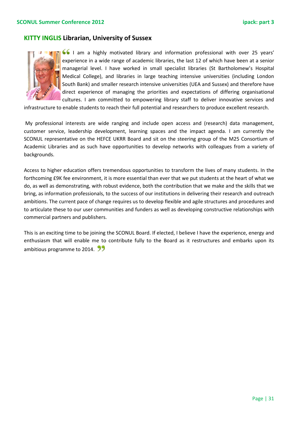### **KITTY INGLIS Librarian, University of Sussex**



I am a highly motivated library and information professional with over 25 years' experience in a wide range of academic libraries, the last 12 of which have been at a senior managerial level. I have worked in small specialist libraries (St Bartholomew's Hospital Medical College), and libraries in large teaching intensive universities (including London South Bank) and smaller research intensive universities (UEA and Sussex) and therefore have direct experience of managing the priorities and expectations of differing organisational cultures. I am committed to empowering library staff to deliver innovative services and

infrastructure to enable students to reach their full potential and researchers to produce excellent research.

My professional interests are wide ranging and include open access and (research) data management, customer service, leadership development, learning spaces and the impact agenda. I am currently the SCONUL representative on the HEFCE UKRR Board and sit on the steering group of the M25 Consortium of Academic Libraries and as such have opportunities to develop networks with colleagues from a variety of backgrounds.

Access to higher education offers tremendous opportunities to transform the lives of many students. In the forthcoming £9K fee environment, it is more essential than ever that we put students at the heart of what we do, as well as demonstrating, with robust evidence, both the contribution that we make and the skills that we bring, as information professionals, to the success of our institutions in delivering their research and outreach ambitions. The current pace of change requires us to develop flexible and agile structures and procedures and to articulate these to our user communities and funders as well as developing constructive relationships with commercial partners and publishers.

This is an exciting time to be joining the SCONUL Board. If elected, I believe I have the experience, energy and enthusiasm that will enable me to contribute fully to the Board as it restructures and embarks upon its ambitious programme to 2014. 99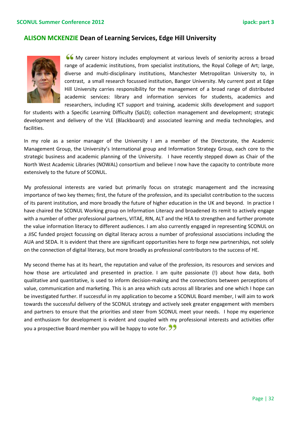#### **ALISON MCKENZIE Dean of Learning Services, Edge Hill University**



My career history includes employment at various levels of seniority across a broad range of academic institutions, from specialist institutions, the Royal College of Art; large, diverse and multi-disciplinary institutions, Manchester Metropolitan University to, in contrast, a small research focussed institution, Bangor University. My current post at Edge Hill University carries responsibility for the management of a broad range of distributed academic services: library and information services for students, academics and researchers, including ICT support and training, academic skills development and support

for students with a Specific Learning Difficulty (SpLD); collection management and development; strategic development and delivery of the VLE (Blackboard) and associated learning and media technologies, and facilities.

In my role as a senior manager of the University I am a member of the Directorate, the Academic Management Group, the University's International group and Information Strategy Group, each core to the strategic business and academic planning of the University. I have recently stepped down as Chair of the North West Academic Libraries (NOWAL) consortium and believe I now have the capacity to contribute more extensively to the future of SCONUL.

My professional interests are varied but primarily focus on strategic management and the increasing importance of two key themes; first, the future of the profession, and its specialist contribution to the success of its parent institution, and more broadly the future of higher education in the UK and beyond. In practice I have chaired the SCONUL Working group on Information Literacy and broadened its remit to actively engage with a number of other professional partners, VITAE, RIN, ALT and the HEA to strengthen and further promote the value information literacy to different audiences. I am also currently engaged in representing SCONUL on a JISC funded project focussing on digital literacy across a number of professional associations including the AUA and SEDA. It is evident that there are significant opportunities here to forge new partnerships, not solely on the connection of digital literacy, but more broadly as professional contributors to the success of HE.

My second theme has at its heart, the reputation and value of the profession, its resources and services and how those are articulated and presented in practice. I am quite passionate (!) about how data, both qualitative and quantitative, is used to inform decision-making and the connections between perceptions of value, communication and marketing. This is an area which cuts across all libraries and one which I hope can be investigated further. If successful in my application to become a SCONUL Board member, I will aim to work towards the successful delivery of the SCONUL strategy and actively seek greater engagement with members and partners to ensure that the priorities and steer from SCONUL meet your needs. I hope my experience and enthusiasm for development is evident and coupled with my professional interests and activities offer you a prospective Board member you will be happy to vote for.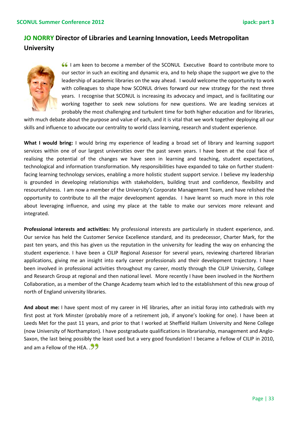### **JO NORRY Director of Libraries and Learning Innovation, Leeds Metropolitan University**



I am keen to become a member of the SCONUL Executive Board to contribute more to our sector in such an exciting and dynamic era, and to help shape the support we give to the leadership of academic libraries on the way ahead. I would welcome the opportunity to work with colleagues to shape how SCONUL drives forward our new strategy for the next three years. I recognise that SCONUL is increasing its advocacy and impact, and is facilitating our working together to seek new solutions for new questions. We are leading services at probably the most challenging and turbulent time for both higher education and for libraries,

with much debate about the purpose and value of each, and it is vital that we work together deploying all our skills and influence to advocate our centrality to world class learning, research and student experience.

**What I would bring:** I would bring my experience of leading a broad set of library and learning support services within one of our largest universities over the past seven years. I have been at the coal face of realising the potential of the changes we have seen in learning and teaching, student expectations, technological and information transformation. My responsibilities have expanded to take on further studentfacing learning technology services, enabling a more holistic student support service. I believe my leadership is grounded in developing relationships with stakeholders, building trust and confidence, flexibility and resourcefulness. I am now a member of the University's Corporate Management Team, and have relished the opportunity to contribute to all the major development agendas. I have learnt so much more in this role about leveraging influence, and using my place at the table to make our services more relevant and integrated.

**Professional interests and activities:** My professional interests are particularly in student experience, and. Our service has held the Customer Service Excellence standard, and its predecessor, Charter Mark, for the past ten years, and this has given us the reputation in the university for leading the way on enhancing the student experience. I have been a CILIP Regional Assessor for several years, reviewing chartered librarian applications, giving me an insight into early career professionals and their development trajectory. I have been involved in professional activities throughout my career, mostly through the CILIP University, College and Research Group at regional and then national level. More recently I have been involved in the Northern Collaboration, as a member of the Change Academy team which led to the establishment of this new group of north of England university libraries.

**And about me:** I have spent most of my career in HE libraries, after an initial foray into cathedrals with my first post at York Minster (probably more of a retirement job, if anyone's looking for one). I have been at Leeds Met for the past 11 years, and prior to that I worked at Sheffield Hallam University and Nene College (now University of Northampton). I have postgraduate qualifications in librarianship, management and Anglo-Saxon, the last being possibly the least used but a very good foundation! I became a Fellow of CILIP in 2010, and am a Fellow of the HFA.  $\overline{33}$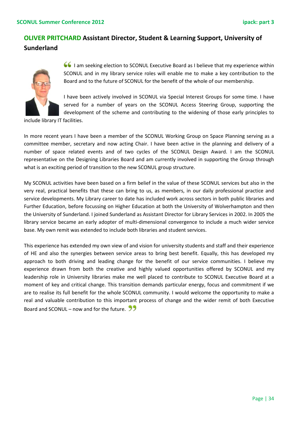### **OLIVER PRITCHARD Assistant Director, Student & Learning Support, University of Sunderland**



 I am seeking election to SCONUL Executive Board as I believe that my experience within SCONUL and in my library service roles will enable me to make a key contribution to the Board and to the future of SCONUL for the benefit of the whole of our membership.

I have been actively involved in SCONUL via Special Interest Groups for some time. I have served for a number of years on the SCONUL Access Steering Group, supporting the development of the scheme and contributing to the widening of those early principles to

include library IT facilities.

In more recent years I have been a member of the SCONUL Working Group on Space Planning serving as a committee member, secretary and now acting Chair. I have been active in the planning and delivery of a number of space related events and of two cycles of the SCONUL Design Award. I am the SCONUL representative on the Designing Libraries Board and am currently involved in supporting the Group through what is an exciting period of transition to the new SCONUL group structure.

My SCONUL activities have been based on a firm belief in the value of these SCONUL services but also in the very real, practical benefits that these can bring to us, as members, in our daily professional practice and service developments. My Library career to date has included work across sectors in both public libraries and Further Education, before focussing on Higher Education at both the University of Wolverhampton and then the University of Sunderland. I joined Sunderland as Assistant Director for Library Services in 2002. In 2005 the library service became an early adopter of multi-dimensional convergence to include a much wider service base. My own remit was extended to include both libraries and student services.

This experience has extended my own view of and vision for university students and staff and their experience of HE and also the synergies between service areas to bring best benefit. Equally, this has developed my approach to both driving and leading change for the benefit of our service communities. I believe my experience drawn from both the creative and highly valued opportunities offered by SCONUL and my leadership role in University libraries make me well placed to contribute to SCONUL Executive Board at a moment of key and critical change. This transition demands particular energy, focus and commitment if we are to realise its full benefit for the whole SCONUL community. I would welcome the opportunity to make a real and valuable contribution to this important process of change and the wider remit of both Executive Board and SCONUL – now and for the future.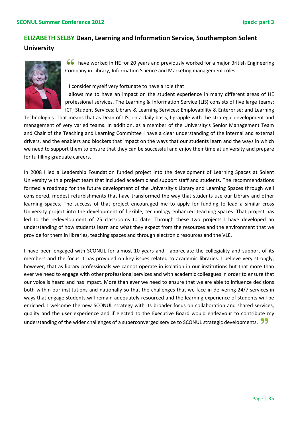### **ELIZABETH SELBY Dean, Learning and Information Service, Southampton Solent University**



I have worked in HE for 20 years and previously worked for a major British Engineering Company in Library, Information Science and Marketing management roles.

I consider myself very fortunate to have a role that

 allows me to have an impact on the student experience in many different areas of HE professional services. The Learning & Information Service (LIS) consists of five large teams: ICT; Student Services; Library & Learning Services; Employability & Enterprise; and Learning

Technologies. That means that as Dean of LIS, on a daily basis, I grapple with the strategic development and management of very varied teams. In addition, as a member of the University's Senior Management Team and Chair of the Teaching and Learning Committee I have a clear understanding of the internal and external drivers, and the enablers and blockers that impact on the ways that our students learn and the ways in which we need to support them to ensure that they can be successful and enjoy their time at university and prepare for fulfilling graduate careers.

In 2008 I led a Leadership Foundation funded project into the development of Learning Spaces at Solent University with a project team that included academic and support staff and students. The recommendations formed a roadmap for the future development of the University's Library and Learning Spaces through well considered, modest refurbishments that have transformed the way that students use our Library and other learning spaces. The success of that project encouraged me to apply for funding to lead a similar cross University project into the development of flexible, technology enhanced teaching spaces. That project has led to the redevelopment of 25 classrooms to date. Through these two projects I have developed an understanding of how students learn and what they expect from the resources and the environment that we provide for them in libraries, teaching spaces and through electronic resources and the VLE.

I have been engaged with SCONUL for almost 10 years and I appreciate the collegiality and support of its members and the focus it has provided on key issues related to academic libraries. I believe very strongly, however, that as library professionals we cannot operate in isolation in our institutions but that more than ever we need to engage with other professional services and with academic colleagues in order to ensure that our voice is heard and has impact. More than ever we need to ensure that we are able to influence decisions both within our institutions and nationally so that the challenges that we face in delivering 24/7 services in ways that engage students will remain adequately resourced and the learning experience of students will be enriched. I welcome the new SCONUL strategy with its broader focus on collaboration and shared services, quality and the user experience and if elected to the Executive Board would endeavour to contribute my understanding of the wider challenges of a superconverged service to SCONUL strategic developments.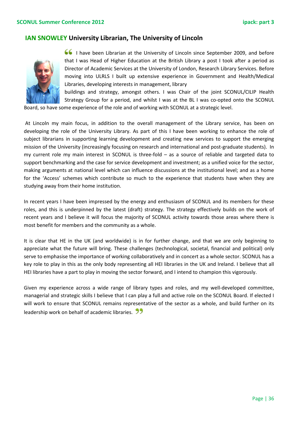#### **IAN SNOWLEY University Librarian, The University of Lincoln**



 I have been Librarian at the University of Lincoln since September 2009, and before that I was Head of Higher Education at the British Library a post I took after a period as Director of Academic Services at the University of London, Research Library Services. Before moving into ULRLS I built up extensive experience in Government and Health/Medical Libraries, developing interests in management, library

buildings and strategy, amongst others. I was Chair of the joint SCONUL/CILIP Health Strategy Group for a period, and whilst I was at the BL I was co-opted onto the SCONUL

Board, so have some experience of the role and of working with SCONUL at a strategic level.

At Lincoln my main focus, in addition to the overall management of the Library service, has been on developing the role of the University Library. As part of this I have been working to enhance the role of subject librarians in supporting learning development and creating new services to support the emerging mission of the University (increasingly focusing on research and international and post-graduate students). In my current role my main interest in SCONUL is three-fold – as a source of reliable and targeted data to support benchmarking and the case for service development and investment; as a unified voice for the sector, making arguments at national level which can influence discussions at the institutional level; and as a home for the 'Access' schemes which contribute so much to the experience that students have when they are studying away from their home institution.

In recent years I have been impressed by the energy and enthusiasm of SCONUL and its members for these roles, and this is underpinned by the latest (draft) strategy. The strategy effectively builds on the work of recent years and I believe it will focus the majority of SCONUL activity towards those areas where there is most benefit for members and the community as a whole.

It is clear that HE in the UK (and worldwide) is in for further change, and that we are only beginning to appreciate what the future will bring. These challenges (technological, societal, financial and political) only serve to emphasise the importance of working collaboratively and in concert as a whole sector. SCONUL has a key role to play in this as the only body representing all HEI libraries in the UK and Ireland. I believe that all HEI libraries have a part to play in moving the sector forward, and I intend to champion this vigorously.

Given my experience across a wide range of library types and roles, and my well-developed committee, managerial and strategic skills I believe that I can play a full and active role on the SCONUL Board. If elected I will work to ensure that SCONUL remains representative of the sector as a whole, and build further on its leadership work on behalf of academic libraries.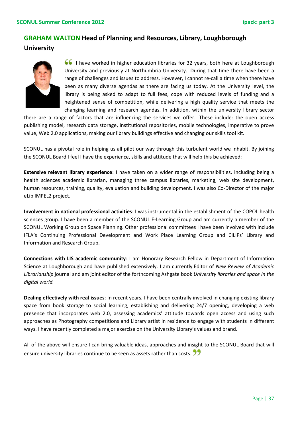#### **GRAHAM WALTON Head of Planning and Resources, Library, Loughborough**

#### **University**



 I have worked in higher education libraries for 32 years, both here at Loughborough University and previously at Northumbria University. During that time there have been a range of challenges and issues to address. However, I cannot re-call a time when there have been as many diverse agendas as there are facing us today. At the University level, the library is being asked to adapt to full fees, cope with reduced levels of funding and a heightened sense of competition, while delivering a high quality service that meets the changing learning and research agendas. In addition, within the university library sector

there are a range of factors that are influencing the services we offer. These include: the open access publishing model, research data storage, institutional repositories, mobile technologies, imperative to prove value, Web 2.0 applications, making our library buildings effective and changing our skills tool kit.

SCONUL has a pivotal role in helping us all pilot our way through this turbulent world we inhabit. By joining the SCONUL Board I feel I have the experience, skills and attitude that will help this be achieved:

**Extensive relevant library experience**: I have taken on a wider range of responsibilities, including being a health sciences academic librarian, managing three campus libraries, marketing, web site development, human resources, training, quality, evaluation and building development. I was also Co-Director of the major eLib IMPEL2 project.

**Involvement in national professional activities**: I was instrumental in the establishment of the COPOL health sciences group. I have been a member of the SCONUL E-Learning Group and am currently a member of the SCONUL Working Group on Space Planning. Other professional committees I have been involved with include IFLA's Continuing Professional Development and Work Place Learning Group and CILIPs' Library and Information and Research Group.

**Connections with LIS academic community**: I am Honorary Research Fellow in Department of Information Science at Loughborough and have published extensively. I am currently Editor of *New Review of Academic Librarianship* journal and am joint editor of the forthcoming Ashgate book *University libraries and space in the digital world.*

**Dealing effectively with real issues**: In recent years, I have been centrally involved in changing existing library space from book storage to social learning, establishing and delivering 24/7 opening, developing a web presence that incorporates web 2.0, assessing academics' attitude towards open access and using such approaches as Photography competitions and Library artist in residence to engage with students in different ways. I have recently completed a major exercise on the University Library's values and brand.

All of the above will ensure I can bring valuable ideas, approaches and insight to the SCONUL Board that will ensure university libraries continue to be seen as assets rather than costs.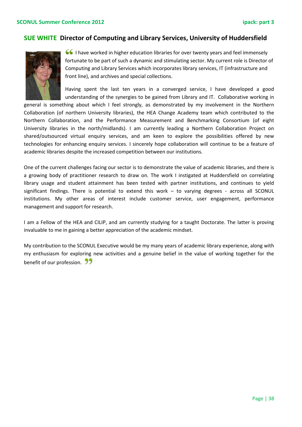#### **SUE WHITE Director of Computing and Library Services, University of Huddersfield**



 I have worked in higher education libraries for over twenty years and feel immensely fortunate to be part of such a dynamic and stimulating sector. My current role is Director of Computing and Library Services which incorporates library services, IT (infrastructure and front line), and archives and special collections.

Having spent the last ten years in a converged service, I have developed a good understanding of the synergies to be gained from Library and IT. Collaborative working in

general is something about which I feel strongly, as demonstrated by my involvement in the Northern Collaboration (of northern University libraries), the HEA Change Academy team which contributed to the Northern Collaboration, and the Performance Measurement and Benchmarking Consortium (of eight University libraries in the north/midlands). I am currently leading a Northern Collaboration Project on shared/outsourced virtual enquiry services, and am keen to explore the possibilities offered by new technologies for enhancing enquiry services. I sincerely hope collaboration will continue to be a feature of academic libraries despite the increased competition between our institutions.

One of the current challenges facing our sector is to demonstrate the value of academic libraries, and there is a growing body of practitioner research to draw on. The work I instigated at Huddersfield on correlating library usage and student attainment has been tested with partner institutions, and continues to yield significant findings. There is potential to extend this work – to varying degrees - across all SCONUL institutions. My other areas of interest include customer service, user engagement, performance management and support for research.

I am a Fellow of the HEA and CILIP, and am currently studying for a taught Doctorate. The latter is proving invaluable to me in gaining a better appreciation of the academic mindset.

My contribution to the SCONUL Executive would be my many years of academic library experience, along with my enthusiasm for exploring new activities and a genuine belief in the value of working together for the benefit of our profession. 22